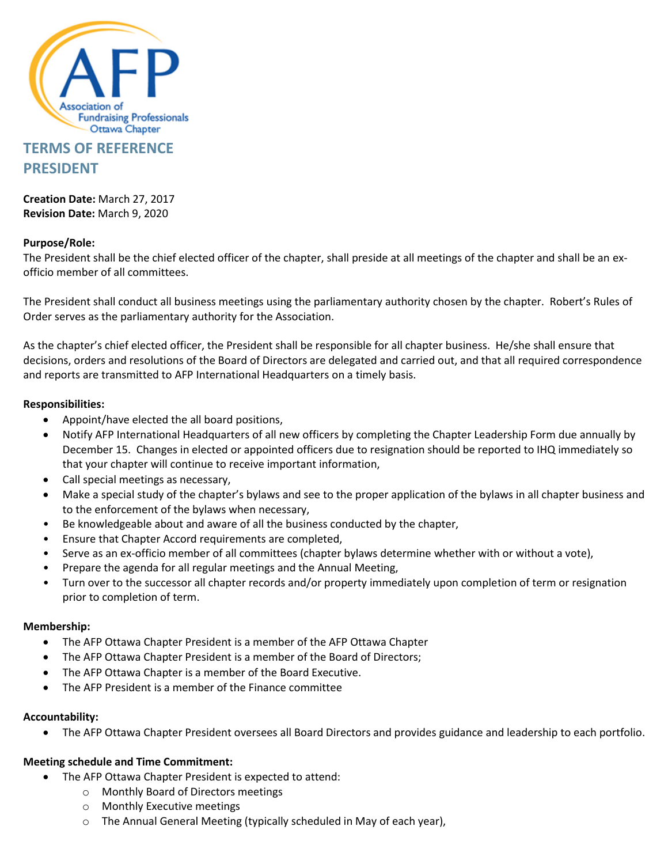

# **TERMS OF REFERENCE PRESIDENT**

**Creation Date:** March 27, 2017 **Revision Date:** March 9, 2020

## **Purpose/Role:**

The President shall be the chief elected officer of the chapter, shall preside at all meetings of the chapter and shall be an exofficio member of all committees.

The President shall conduct all business meetings using the parliamentary authority chosen by the chapter. Robert's Rules of Order serves as the parliamentary authority for the Association.

As the chapter's chief elected officer, the President shall be responsible for all chapter business. He/she shall ensure that decisions, orders and resolutions of the Board of Directors are delegated and carried out, and that all required correspondence and reports are transmitted to AFP International Headquarters on a timely basis.

### **Responsibilities:**

- Appoint/have elected the all board positions,
- Notify AFP International Headquarters of all new officers by completing the Chapter Leadership Form due annually by December 15. Changes in elected or appointed officers due to resignation should be reported to IHQ immediately so that your chapter will continue to receive important information,
- Call special meetings as necessary,
- Make a special study of the chapter's bylaws and see to the proper application of the bylaws in all chapter business and to the enforcement of the bylaws when necessary,
- Be knowledgeable about and aware of all the business conducted by the chapter,
- Ensure that Chapter Accord requirements are completed,
- Serve as an ex-officio member of all committees (chapter bylaws determine whether with or without a vote),
- Prepare the agenda for all regular meetings and the Annual Meeting,
- Turn over to the successor all chapter records and/or property immediately upon completion of term or resignation prior to completion of term.

#### **Membership:**

- The AFP Ottawa Chapter President is a member of the AFP Ottawa Chapter
- The AFP Ottawa Chapter President is a member of the Board of Directors;
- The AFP Ottawa Chapter is a member of the Board Executive.
- The AFP President is a member of the Finance committee

#### **Accountability:**

• The AFP Ottawa Chapter President oversees all Board Directors and provides guidance and leadership to each portfolio.

## **Meeting schedule and Time Commitment:**

- The AFP Ottawa Chapter President is expected to attend:
	- o Monthly Board of Directors meetings
	- o Monthly Executive meetings
	- o The Annual General Meeting (typically scheduled in May of each year),